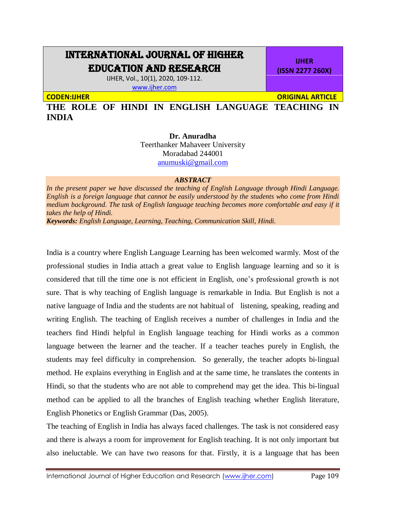## INTERNATIONAL JOURNAL OF HIGHER EDUCATION AND RESEARCH

IJHER, Vol., 10(1), 2020, 109-112. [www.ijher.com](http://www.ijher.com/)

**CODEN:IJHER ORIGINAL ARTICLE** 

**IJHER (ISSN 2277 260X)**

**THE ROLE OF HINDI IN ENGLISH LANGUAGE TEACHING IN INDIA**

> **Dr. Anuradha** Teerthanker Mahaveer University Moradabad 244001

> > [anumuski@gmail.com](mailto:anumuski@gmail.com)

## *ABSTRACT*

*In the present paper we have discussed the teaching of English Language through Hindi Language. English is a foreign language that cannot be easily understood by the students who come from Hindi medium background. The task of English language teaching becomes more comfortable and easy if it takes the help of Hindi. Keywords: English Language, Learning, Teaching, Communication Skill, Hindi.*

India is a country where English Language Learning has been welcomed warmly. Most of the professional studies in India attach a great value to English language learning and so it is considered that till the time one is not efficient in English, one's professional growth is not sure. That is why teaching of English language is remarkable in India. But English is not a native language of India and the students are not habitual of listening, speaking, reading and writing English. The teaching of English receives a number of challenges in India and the teachers find Hindi helpful in English language teaching for Hindi works as a common language between the learner and the teacher. If a teacher teaches purely in English, the students may feel difficulty in comprehension. So generally, the teacher adopts bi-lingual method. He explains everything in English and at the same time, he translates the contents in Hindi, so that the students who are not able to comprehend may get the idea. This bi-lingual method can be applied to all the branches of English teaching whether English literature, English Phonetics or English Grammar (Das, 2005).

The teaching of English in India has always faced challenges. The task is not considered easy and there is always a room for improvement for English teaching. It is not only important but also ineluctable. We can have two reasons for that. Firstly, it is a language that has been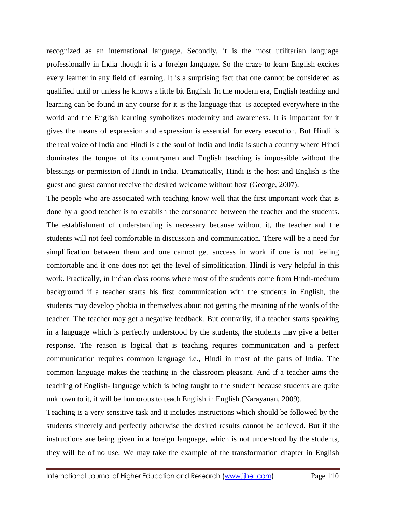recognized as an international language. Secondly, it is the most utilitarian language professionally in India though it is a foreign language. So the craze to learn English excites every learner in any field of learning. It is a surprising fact that one cannot be considered as qualified until or unless he knows a little bit English. In the modern era, English teaching and learning can be found in any course for it is the language that is accepted everywhere in the world and the English learning symbolizes modernity and awareness. It is important for it gives the means of expression and expression is essential for every execution. But Hindi is the real voice of India and Hindi is a the soul of India and India is such a country where Hindi dominates the tongue of its countrymen and English teaching is impossible without the blessings or permission of Hindi in India. Dramatically, Hindi is the host and English is the guest and guest cannot receive the desired welcome without host (George, 2007).

The people who are associated with teaching know well that the first important work that is done by a good teacher is to establish the consonance between the teacher and the students. The establishment of understanding is necessary because without it, the teacher and the students will not feel comfortable in discussion and communication. There will be a need for simplification between them and one cannot get success in work if one is not feeling comfortable and if one does not get the level of simplification. Hindi is very helpful in this work. Practically, in Indian class rooms where most of the students come from Hindi-medium background if a teacher starts his first communication with the students in English, the students may develop phobia in themselves about not getting the meaning of the words of the teacher. The teacher may get a negative feedback. But contrarily, if a teacher starts speaking in a language which is perfectly understood by the students, the students may give a better response. The reason is logical that is teaching requires communication and a perfect communication requires common language i.e., Hindi in most of the parts of India. The common language makes the teaching in the classroom pleasant. And if a teacher aims the teaching of English- language which is being taught to the student because students are quite unknown to it, it will be humorous to teach English in English (Narayanan, 2009).

Teaching is a very sensitive task and it includes instructions which should be followed by the students sincerely and perfectly otherwise the desired results cannot be achieved. But if the instructions are being given in a foreign language, which is not understood by the students, they will be of no use. We may take the example of the transformation chapter in English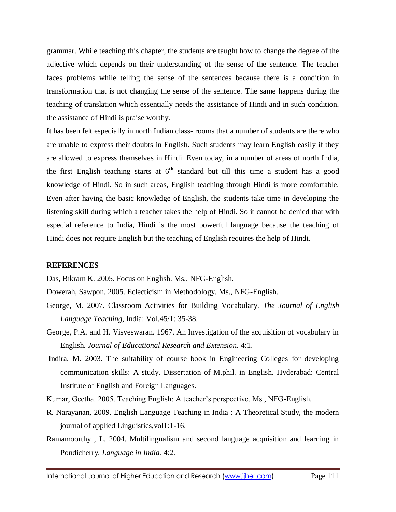grammar. While teaching this chapter, the students are taught how to change the degree of the adjective which depends on their understanding of the sense of the sentence. The teacher faces problems while telling the sense of the sentences because there is a condition in transformation that is not changing the sense of the sentence. The same happens during the teaching of translation which essentially needs the assistance of Hindi and in such condition, the assistance of Hindi is praise worthy.

It has been felt especially in north Indian class- rooms that a number of students are there who are unable to express their doubts in English. Such students may learn English easily if they are allowed to express themselves in Hindi. Even today, in a number of areas of north India, the first English teaching starts at  $6<sup>th</sup>$  standard but till this time a student has a good knowledge of Hindi. So in such areas, English teaching through Hindi is more comfortable. Even after having the basic knowledge of English, the students take time in developing the listening skill during which a teacher takes the help of Hindi. So it cannot be denied that with especial reference to India, Hindi is the most powerful language because the teaching of Hindi does not require English but the teaching of English requires the help of Hindi.

## **REFERENCES**

Das, Bikram K. 2005. Focus on English. Ms., NFG-English.

Dowerah, Sawpon. 2005. Eclecticism in Methodology. Ms., NFG-English.

- George, M. 2007. Classroom Activities for Building Vocabulary. *The Journal of English Language Teaching,* India: Vol.45/1: 35-38.
- George, P.A. and H. Visveswaran. 1967. An Investigation of the acquisition of vocabulary in English. *Journal of Educational Research and Extension.* 4:1.
- Indira, M. 2003. The suitability of course book in Engineering Colleges for developing communication skills: A study. Dissertation of M.phil. in English. Hyderabad: Central Institute of English and Foreign Languages.
- Kumar, Geetha. 2005. Teaching English: A teacher's perspective. Ms., NFG-English.
- R. Narayanan, 2009. English Language Teaching in India : A Theoretical Study, the modern journal of applied Linguistics,vol1:1-16.
- Ramamoorthy , L. 2004. Multilingualism and second language acquisition and learning in Pondicherry*. Language in India.* 4:2.